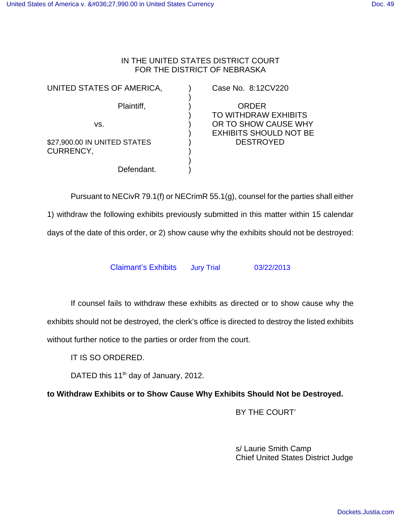## IN THE UNITED STATES DISTRICT COURT FOR THE DISTRICT OF NEBRASKA

)

)

UNITED STATES OF AMERICA, The Case No. 8:12CV220

\$27,900.00 IN UNITED STATES (a) DESTROYED CURRENCY,

Defendant.

Plaintiff,  $\qquad \qquad$ ) ORDER ) TO WITHDRAW EXHIBITS vs. ) OR TO SHOW CAUSE WHY ) EXHIBITS SHOULD NOT BE

Pursuant to NECivR 79.1(f) or NECrimR 55.1(g), counsel for the parties shall either 1) withdraw the following exhibits previously submitted in this matter within 15 calendar days of the date of this order, or 2) show cause why the exhibits should not be destroyed:

Claimant's Exhibits Jury Trial 03/22/2013

If counsel fails to withdraw these exhibits as directed or to show cause why the exhibits should not be destroyed, the clerk's office is directed to destroy the listed exhibits without further notice to the parties or order from the court.

IT IS SO ORDERED.

DATED this  $11<sup>th</sup>$  day of January, 2012.

**to Withdraw Exhibits or to Show Cause Why Exhibits Should Not be Destroyed.**

BY THE COURT'

s/ Laurie Smith Camp Chief United States District Judge